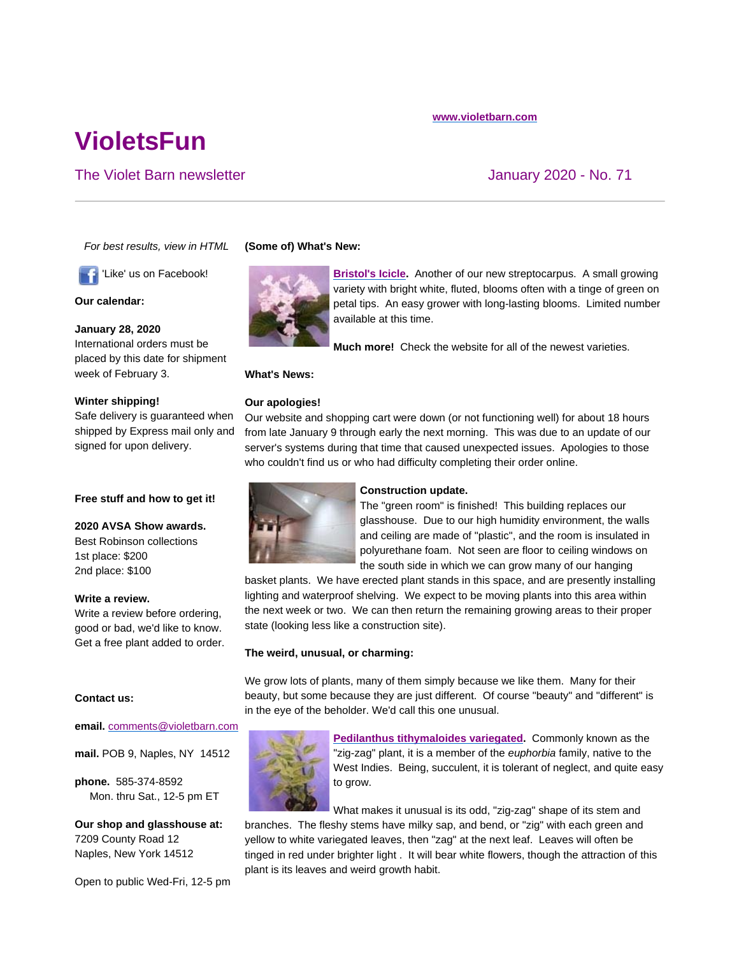# **VioletsFun**

### The Violet Barn newsletter **The Violet Barn newsletter** And The Violet Barn newsletter And The Violet And The Violet And The Violet And The Violet And The Violet And The Violet And The Violet And The Violet And The Violet

*For best results, view in HTML*

'Like' us on Facebook!

**Our calendar:** 

**January 28, 2020**

week of February 3.

**Winter shipping!**

signed for upon delivery.

**Free stuff and how to get it!**

**2020 AVSA Show awards.** Best Robinson collections

Write a review before ordering, good or bad, we'd like to know. Get a free plant added to order.

International orders must be placed by this date for shipment

Safe delivery is guaranteed when shipped by Express mail only and

## **(Some of) What's New:**



**Bristol's Icicle.** Another of our new streptocarpus. A small growing variety with bright white, fluted, blooms often with a tinge of green on petal tips. An easy grower with long-lasting blooms. Limited number available at this time.

**Much more!** Check the website for all of the newest varieties.

#### **What's News:**

#### **Our apologies!**

Our website and shopping cart were down (or not functioning well) for about 18 hours from late January 9 through early the next morning. This was due to an update of our server's systems during that time that caused unexpected issues. Apologies to those who couldn't find us or who had difficulty completing their order online.



#### **Construction update.**

The "green room" is finished! This building replaces our glasshouse. Due to our high humidity environment, the walls and ceiling are made of "plastic", and the room is insulated in polyurethane foam. Not seen are floor to ceiling windows on the south side in which we can grow many of our hanging

basket plants. We have erected plant stands in this space, and are presently installing lighting and waterproof shelving. We expect to be moving plants into this area within the next week or two. We can then return the remaining growing areas to their proper state (looking less like a construction site).

#### **The weird, unusual, or charming:**

We grow lots of plants, many of them simply because we like them. Many for their beauty, but some because they are just different. Of course "beauty" and "different" is in the eye of the beholder. We'd call this one unusual.



**Pedilanthus tithymaloides variegated.** Commonly known as the "zig-zag" plant, it is a member of the *euphorbia* family, native to the West Indies. Being, succulent, it is tolerant of neglect, and quite easy to grow.

What makes it unusual is its odd, "zig-zag" shape of its stem and

branches. The fleshy stems have milky sap, and bend, or "zig" with each green and yellow to white variegated leaves, then "zag" at the next leaf. Leaves will often be tinged in red under brighter light . It will bear white flowers, though the attraction of this plant is its leaves and weird growth habit.

## **Contact us:**

1st place: \$200 2nd place: \$100

**Write a review.**

#### **email.** comments@violetbarn.com

**mail.** POB 9, Naples, NY 14512

**phone.** 585-374-8592 Mon. thru Sat., 12-5 pm ET

**Our shop and glasshouse at:** 7209 County Road 12 Naples, New York 14512

Open to public Wed-Fri, 12-5 pm